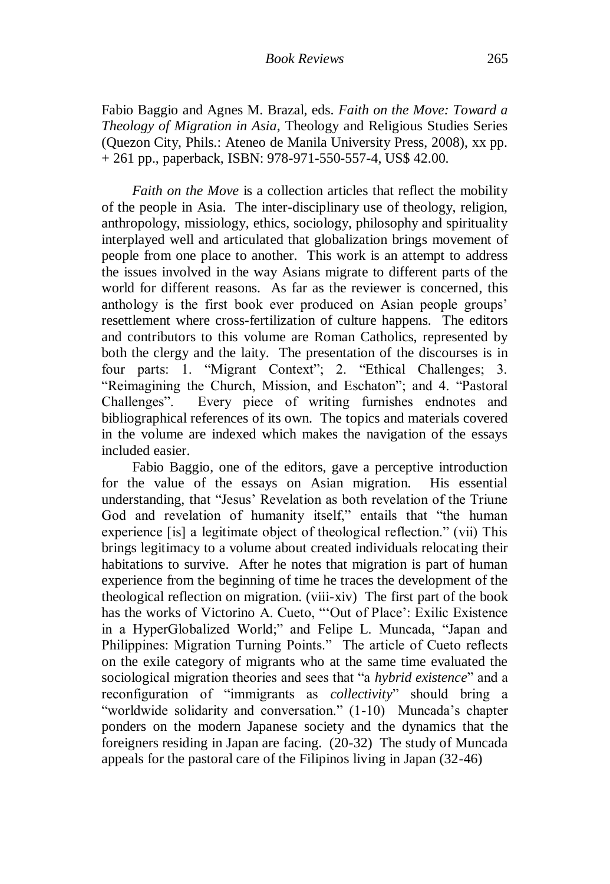Fabio Baggio and Agnes M. Brazal, eds. *Faith on the Move: Toward a Theology of Migration in Asia*, Theology and Religious Studies Series (Quezon City, Phils.: Ateneo de Manila University Press, 2008), xx pp. + 261 pp., paperback, ISBN: 978-971-550-557-4, US\$ 42.00.

*Faith on the Move* is a collection articles that reflect the mobility of the people in Asia. The inter-disciplinary use of theology, religion, anthropology, missiology, ethics, sociology, philosophy and spirituality interplayed well and articulated that globalization brings movement of people from one place to another. This work is an attempt to address the issues involved in the way Asians migrate to different parts of the world for different reasons. As far as the reviewer is concerned, this anthology is the first book ever produced on Asian people groups" resettlement where cross-fertilization of culture happens. The editors and contributors to this volume are Roman Catholics, represented by both the clergy and the laity. The presentation of the discourses is in four parts: 1. "Migrant Context"; 2. "Ethical Challenges; 3. "Reimagining the Church, Mission, and Eschaton"; and 4. "Pastoral Challenges". Every piece of writing furnishes endnotes and bibliographical references of its own. The topics and materials covered in the volume are indexed which makes the navigation of the essays included easier.

Fabio Baggio, one of the editors, gave a perceptive introduction for the value of the essays on Asian migration. His essential understanding, that "Jesus" Revelation as both revelation of the Triune God and revelation of humanity itself," entails that "the human experience [is] a legitimate object of theological reflection." (vii) This brings legitimacy to a volume about created individuals relocating their habitations to survive. After he notes that migration is part of human experience from the beginning of time he traces the development of the theological reflection on migration. (viii-xiv) The first part of the book has the works of Victorino A. Cueto, ""Out of Place': Exilic Existence in a HyperGlobalized World;" and Felipe L. Muncada, "Japan and Philippines: Migration Turning Points." The article of Cueto reflects on the exile category of migrants who at the same time evaluated the sociological migration theories and sees that "a *hybrid existence*" and a reconfiguration of "immigrants as *collectivity*" should bring a "worldwide solidarity and conversation." (1-10) Muncada's chapter ponders on the modern Japanese society and the dynamics that the foreigners residing in Japan are facing. (20-32) The study of Muncada appeals for the pastoral care of the Filipinos living in Japan (32-46)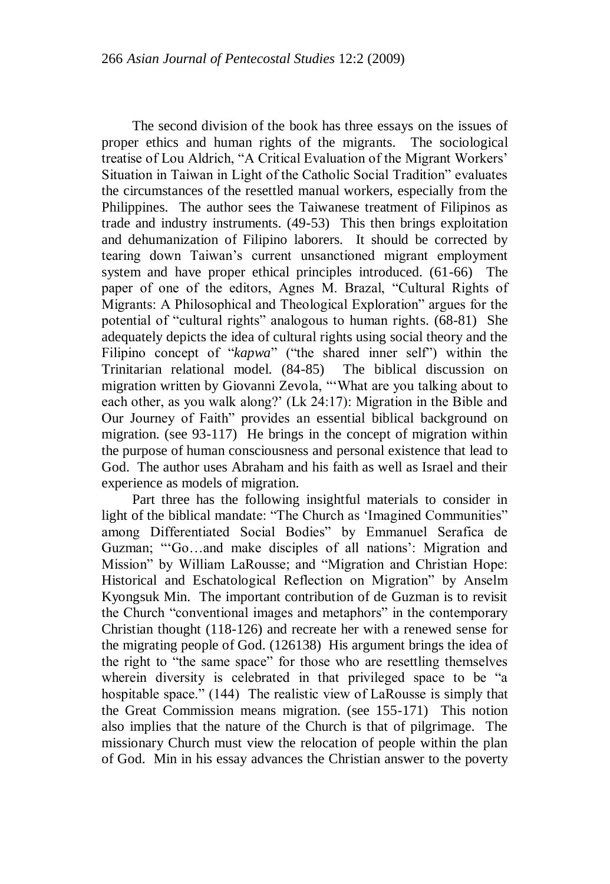The second division of the book has three essays on the issues of proper ethics and human rights of the migrants. The sociological treatise of Lou Aldrich, "A Critical Evaluation of the Migrant Workers" Situation in Taiwan in Light of the Catholic Social Tradition" evaluates the circumstances of the resettled manual workers, especially from the Philippines. The author sees the Taiwanese treatment of Filipinos as trade and industry instruments. (49-53) This then brings exploitation and dehumanization of Filipino laborers. It should be corrected by tearing down Taiwan"s current unsanctioned migrant employment system and have proper ethical principles introduced. (61-66) The paper of one of the editors, Agnes M. Brazal, "Cultural Rights of Migrants: A Philosophical and Theological Exploration" argues for the potential of "cultural rights" analogous to human rights. (68-81) She adequately depicts the idea of cultural rights using social theory and the Filipino concept of "*kapwa*" ("the shared inner self") within the Trinitarian relational model. (84-85) The biblical discussion on migration written by Giovanni Zevola, ""What are you talking about to each other, as you walk along?" (Lk 24:17): Migration in the Bible and Our Journey of Faith" provides an essential biblical background on migration. (see 93-117) He brings in the concept of migration within the purpose of human consciousness and personal existence that lead to God. The author uses Abraham and his faith as well as Israel and their experience as models of migration.

Part three has the following insightful materials to consider in light of the biblical mandate: "The Church as "Imagined Communities" among Differentiated Social Bodies" by Emmanuel Serafica de Guzman; ""Go…and make disciples of all nations": Migration and Mission" by William LaRousse; and "Migration and Christian Hope: Historical and Eschatological Reflection on Migration" by Anselm Kyongsuk Min. The important contribution of de Guzman is to revisit the Church "conventional images and metaphors" in the contemporary Christian thought (118-126) and recreate her with a renewed sense for the migrating people of God. (126138) His argument brings the idea of the right to "the same space" for those who are resettling themselves wherein diversity is celebrated in that privileged space to be "a hospitable space." (144) The realistic view of LaRousse is simply that the Great Commission means migration. (see 155-171) This notion also implies that the nature of the Church is that of pilgrimage. The missionary Church must view the relocation of people within the plan of God. Min in his essay advances the Christian answer to the poverty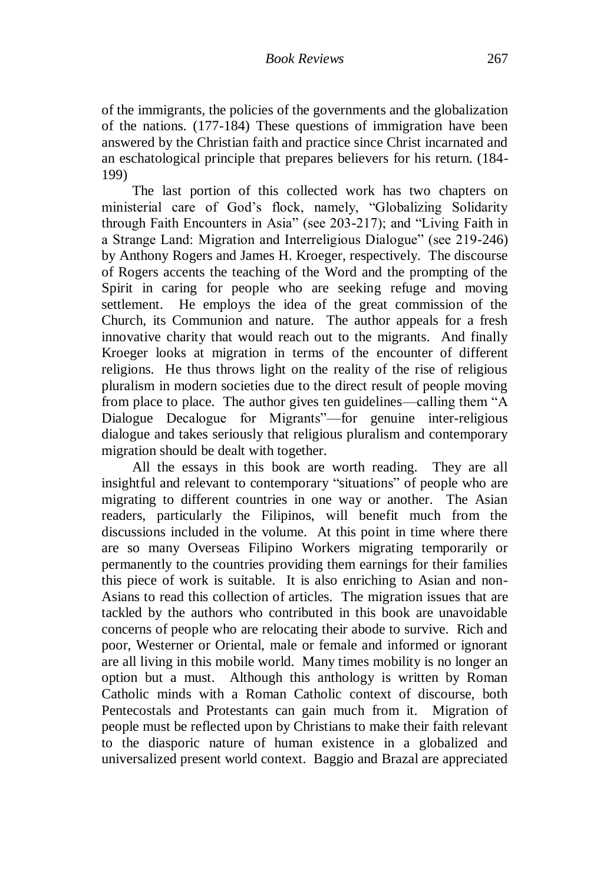of the immigrants, the policies of the governments and the globalization of the nations. (177-184) These questions of immigration have been answered by the Christian faith and practice since Christ incarnated and an eschatological principle that prepares believers for his return. (184- 199)

The last portion of this collected work has two chapters on ministerial care of God"s flock, namely, "Globalizing Solidarity through Faith Encounters in Asia" (see 203-217); and "Living Faith in a Strange Land: Migration and Interreligious Dialogue" (see 219-246) by Anthony Rogers and James H. Kroeger, respectively. The discourse of Rogers accents the teaching of the Word and the prompting of the Spirit in caring for people who are seeking refuge and moving settlement. He employs the idea of the great commission of the Church, its Communion and nature. The author appeals for a fresh innovative charity that would reach out to the migrants. And finally Kroeger looks at migration in terms of the encounter of different religions. He thus throws light on the reality of the rise of religious pluralism in modern societies due to the direct result of people moving from place to place. The author gives ten guidelines—calling them "A Dialogue Decalogue for Migrants"—for genuine inter-religious dialogue and takes seriously that religious pluralism and contemporary migration should be dealt with together.

All the essays in this book are worth reading. They are all insightful and relevant to contemporary "situations" of people who are migrating to different countries in one way or another. The Asian readers, particularly the Filipinos, will benefit much from the discussions included in the volume. At this point in time where there are so many Overseas Filipino Workers migrating temporarily or permanently to the countries providing them earnings for their families this piece of work is suitable. It is also enriching to Asian and non-Asians to read this collection of articles. The migration issues that are tackled by the authors who contributed in this book are unavoidable concerns of people who are relocating their abode to survive. Rich and poor, Westerner or Oriental, male or female and informed or ignorant are all living in this mobile world. Many times mobility is no longer an option but a must. Although this anthology is written by Roman Catholic minds with a Roman Catholic context of discourse, both Pentecostals and Protestants can gain much from it. Migration of people must be reflected upon by Christians to make their faith relevant to the diasporic nature of human existence in a globalized and universalized present world context. Baggio and Brazal are appreciated